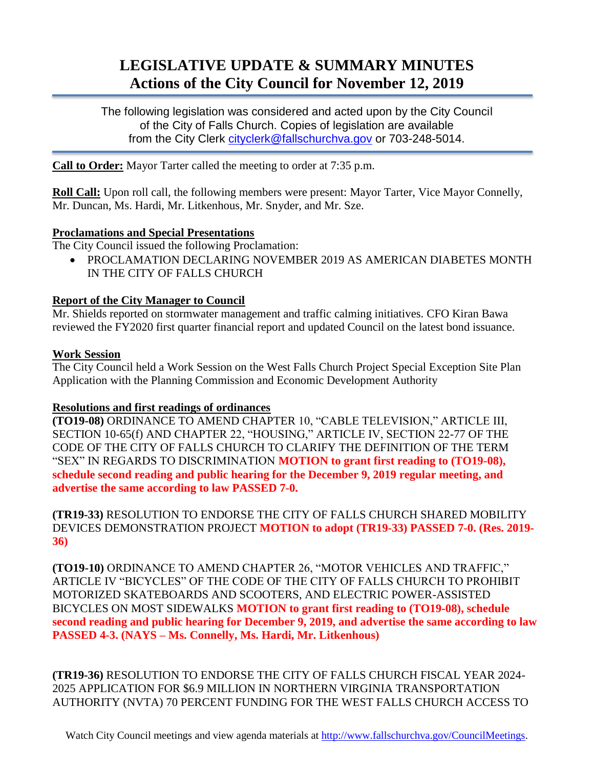# **LEGISLATIVE UPDATE & SUMMARY MINUTES Actions of the City Council for November 12, 2019**

The following legislation was considered and acted upon by the City Council of the City of Falls Church. Copies of legislation are available from the City Clerk [cityclerk@fallschurchva.gov](mailto:cityclerk@fallschurchva.gov) or 703-248-5014.

**Call to Order:** Mayor Tarter called the meeting to order at 7:35 p.m.

**Roll Call:** Upon roll call, the following members were present: Mayor Tarter, Vice Mayor Connelly, Mr. Duncan, Ms. Hardi, Mr. Litkenhous, Mr. Snyder, and Mr. Sze.

## **Proclamations and Special Presentations**

The City Council issued the following Proclamation:

 PROCLAMATION DECLARING NOVEMBER 2019 AS AMERICAN DIABETES MONTH IN THE CITY OF FALLS CHURCH

## **Report of the City Manager to Council**

Mr. Shields reported on stormwater management and traffic calming initiatives. CFO Kiran Bawa reviewed the FY2020 first quarter financial report and updated Council on the latest bond issuance.

## **Work Session**

The City Council held a Work Session on the West Falls Church Project Special Exception Site Plan Application with the Planning Commission and Economic Development Authority

## **Resolutions and first readings of ordinances**

**(TO19-08)** ORDINANCE TO AMEND CHAPTER 10, "CABLE TELEVISION," ARTICLE III, SECTION 10-65(f) AND CHAPTER 22, "HOUSING," ARTICLE IV, SECTION 22-77 OF THE CODE OF THE CITY OF FALLS CHURCH TO CLARIFY THE DEFINITION OF THE TERM "SEX" IN REGARDS TO DISCRIMINATION **MOTION to grant first reading to (TO19-08), schedule second reading and public hearing for the December 9, 2019 regular meeting, and advertise the same according to law PASSED 7-0.**

**(TR19-33)** RESOLUTION TO ENDORSE THE CITY OF FALLS CHURCH SHARED MOBILITY DEVICES DEMONSTRATION PROJECT **MOTION to adopt (TR19-33) PASSED 7-0. (Res. 2019- 36)**

**(TO19-10)** ORDINANCE TO AMEND CHAPTER 26, "MOTOR VEHICLES AND TRAFFIC," ARTICLE IV "BICYCLES" OF THE CODE OF THE CITY OF FALLS CHURCH TO PROHIBIT MOTORIZED SKATEBOARDS AND SCOOTERS, AND ELECTRIC POWER-ASSISTED BICYCLES ON MOST SIDEWALKS **MOTION to grant first reading to (TO19-08), schedule second reading and public hearing for December 9, 2019, and advertise the same according to law PASSED 4-3. (NAYS – Ms. Connelly, Ms. Hardi, Mr. Litkenhous)**

**(TR19-36)** RESOLUTION TO ENDORSE THE CITY OF FALLS CHURCH FISCAL YEAR 2024- 2025 APPLICATION FOR \$6.9 MILLION IN NORTHERN VIRGINIA TRANSPORTATION AUTHORITY (NVTA) 70 PERCENT FUNDING FOR THE WEST FALLS CHURCH ACCESS TO